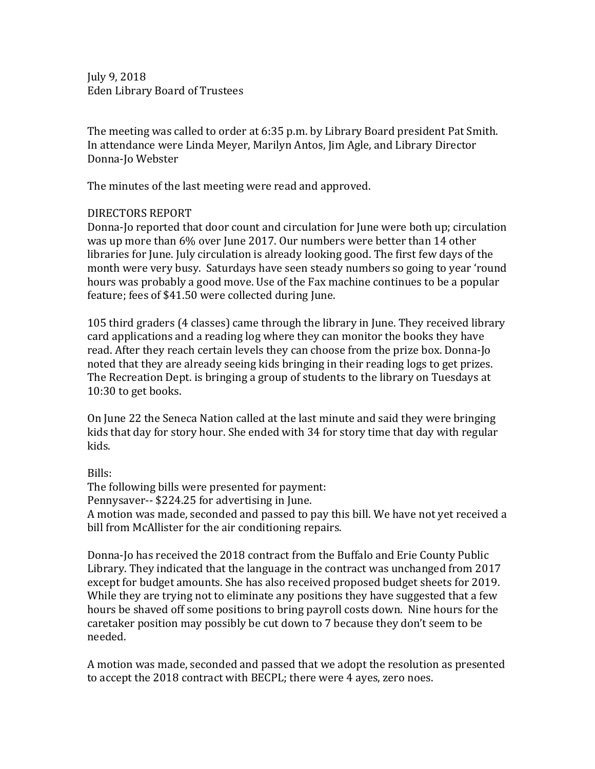July 9, 2018 Eden Library Board of Trustees

The meeting was called to order at 6:35 p.m. by Library Board president Pat Smith. In attendance were Linda Meyer, Marilyn Antos, Jim Agle, and Library Director Donna-Jo Webster

The minutes of the last meeting were read and approved.

## DIRECTORS%REPORT

Donna-Jo reported that door count and circulation for June were both up; circulation was up more than 6% over June 2017. Our numbers were better than 14 other libraries for June. July circulation is already looking good. The first few days of the month were very busy. Saturdays have seen steady numbers so going to year 'round hours was probably a good move. Use of the Fax machine continues to be a popular feature; fees of \$41.50 were collected during June.

105 third graders (4 classes) came through the library in June. They received library card applications and a reading log where they can monitor the books they have read. After they reach certain levels they can choose from the prize box. Donna-Jo noted that they are already seeing kids bringing in their reading logs to get prizes. The Recreation Dept. is bringing a group of students to the library on Tuesdays at  $10:30$  to get books.

On June 22 the Seneca Nation called at the last minute and said they were bringing kids that day for story hour. She ended with 34 for story time that day with regular kids.

Bills:

The following bills were presented for payment: Pennysaver-- \$224.25 for advertising in June. A motion was made, seconded and passed to pay this bill. We have not yet received a bill from McAllister for the air conditioning repairs.

Donna-Jo has received the 2018 contract from the Buffalo and Erie County Public Library. They indicated that the language in the contract was unchanged from  $2017$ except for budget amounts. She has also received proposed budget sheets for 2019. While they are trying not to eliminate any positions they have suggested that a few hours be shaved off some positions to bring payroll costs down. Nine hours for the caretaker position may possibly be cut down to 7 because they don't seem to be needed.

A motion was made, seconded and passed that we adopt the resolution as presented to accept the 2018 contract with BECPL; there were 4 ayes, zero noes.